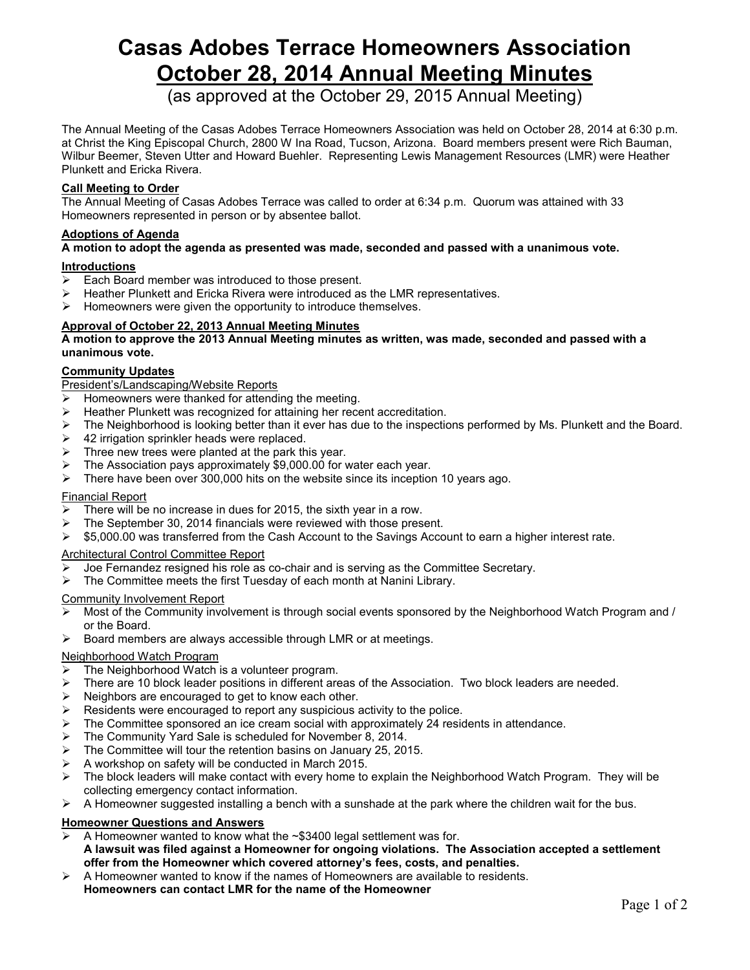# **Casas Adobes Terrace Homeowners Association October 28, 2014 Annual Meeting Minutes**

(as approved at the October 29, 2015 Annual Meeting)

The Annual Meeting of the Casas Adobes Terrace Homeowners Association was held on October 28, 2014 at 6:30 p.m. at Christ the King Episcopal Church, 2800 W Ina Road, Tucson, Arizona. Board members present were Rich Bauman, Wilbur Beemer, Steven Utter and Howard Buehler. Representing Lewis Management Resources (LMR) were Heather Plunkett and Ericka Rivera.

# **Call Meeting to Order**

The Annual Meeting of Casas Adobes Terrace was called to order at 6:34 p.m. Quorum was attained with 33 Homeowners represented in person or by absentee ballot.

## **Adoptions of Agenda**

# **A motion to adopt the agenda as presented was made, seconded and passed with a unanimous vote.**

## **Introductions**

- $\triangleright$  Each Board member was introduced to those present.
- Heather Plunkett and Ericka Rivera were introduced as the LMR representatives.
- $\triangleright$  Homeowners were given the opportunity to introduce themselves.

# **Approval of October 22, 2013 Annual Meeting Minutes**

**A motion to approve the 2013 Annual Meeting minutes as written, was made, seconded and passed with a unanimous vote.**

## **Community Updates**

President's/Landscaping/Website Reports

- $\triangleright$  Homeowners were thanked for attending the meeting.
- Heather Plunkett was recognized for attaining her recent accreditation.
- $\triangleright$  The Neighborhood is looking better than it ever has due to the inspections performed by Ms. Plunkett and the Board.
- 42 irrigation sprinkler heads were replaced.
- Three new trees were planted at the park this year.
- The Association pays approximately \$9,000.00 for water each year.
- $\triangleright$  There have been over 300,000 hits on the website since its inception 10 years ago.

#### Financial Report

- There will be no increase in dues for 2015, the sixth year in a row.
- The September 30, 2014 financials were reviewed with those present.
- $\triangleright$  \$5,000.00 was transferred from the Cash Account to the Savings Account to earn a higher interest rate.

#### Architectural Control Committee Report

- Joe Fernandez resigned his role as co-chair and is serving as the Committee Secretary.
- $\triangleright$  The Committee meets the first Tuesday of each month at Nanini Library.

#### Community Involvement Report

- $\triangleright$  Most of the Community involvement is through social events sponsored by the Neighborhood Watch Program and / or the Board.
- $\triangleright$  Board members are always accessible through LMR or at meetings.

#### Neighborhood Watch Program

- The Neighborhood Watch is a volunteer program.
- $\triangleright$  There are 10 block leader positions in different areas of the Association. Two block leaders are needed.
- Neighbors are encouraged to get to know each other.
- Residents were encouraged to report any suspicious activity to the police.
- The Committee sponsored an ice cream social with approximately 24 residents in attendance.
- The Community Yard Sale is scheduled for November 8, 2014.
- The Committee will tour the retention basins on January 25, 2015.
- A workshop on safety will be conducted in March 2015.
- $\triangleright$  The block leaders will make contact with every home to explain the Neighborhood Watch Program. They will be collecting emergency contact information.
- $\triangleright$  A Homeowner suggested installing a bench with a sunshade at the park where the children wait for the bus.

#### **Homeowner Questions and Answers**

- A Homeowner wanted to know what the ~\$3400 legal settlement was for. **A lawsuit was filed against a Homeowner for ongoing violations. The Association accepted a settlement offer from the Homeowner which covered attorney's fees, costs, and penalties.**
- $\triangleright$  A Homeowner wanted to know if the names of Homeowners are available to residents. **Homeowners can contact LMR for the name of the Homeowner**